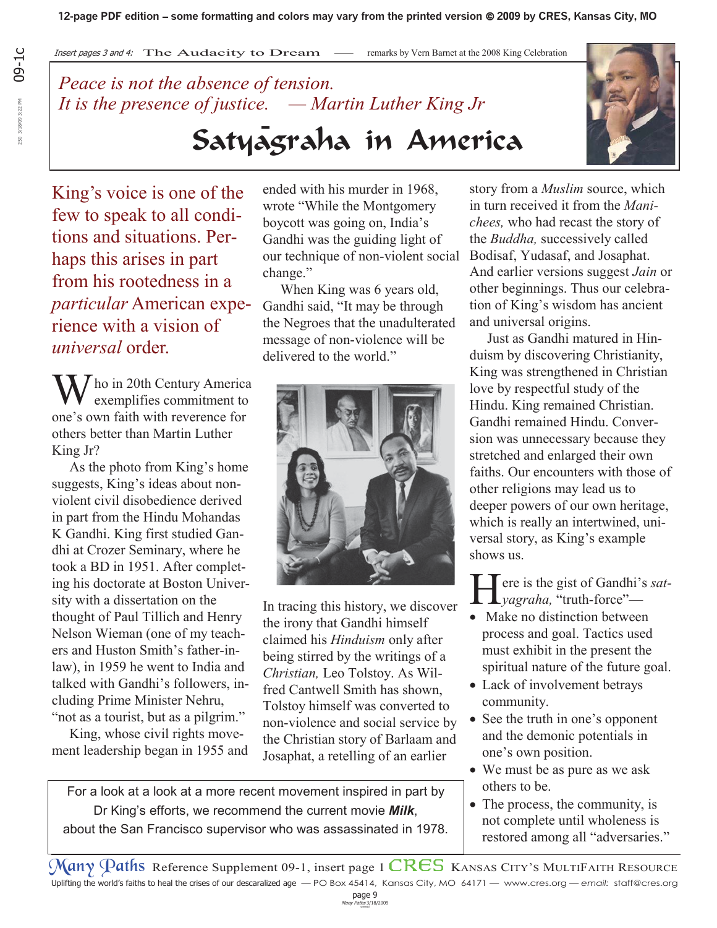## *Peace is not the absence of tension. It is the presence of justice. — Martin Luther King Jr*

King's voice is one of the few to speak to all conditions and situations. Perhaps this arises in part from his rootedness in a *particular* American experience with a vision of *universal* order.

 $\int$  ho in 20th Century America exemplifies commitment to one's own faith with reverence for others better than Martin Luther King Jr?

 As the photo from King's home suggests, King's ideas about nonviolent civil disobedience derived in part from the Hindu Mohandas K Gandhi. King first studied Gandhi at Crozer Seminary, where he took a BD in 1951. After completing his doctorate at Boston University with a dissertation on the thought of Paul Tillich and Henry Nelson Wieman (one of my teachers and Huston Smith's father-inlaw), in 1959 he went to India and talked with Gandhi's followers, including Prime Minister Nehru, "not as a tourist, but as a pilgrim."

 King, whose civil rights movement leadership began in 1955 and ended with his murder in 1968, wrote "While the Montgomery boycott was going on, India's Gandhi was the guiding light of our technique of non-violent social change."

Satyagraha in America

 When King was 6 years old, Gandhi said, "It may be through the Negroes that the unadulterated message of non-violence will be delivered to the world."



In tracing this history, we discover the irony that Gandhi himself claimed his *Hinduism* only after being stirred by the writings of a *Christian,* Leo Tolstoy. As Wilfred Cantwell Smith has shown, Tolstoy himself was converted to non-violence and social service by the Christian story of Barlaam and Josaphat, a retelling of an earlier

For a look at a look at a more recent movement inspired in part by Dr King's efforts, we recommend the current movie *Milk*, about the San Francisco supervisor who was assassinated in 1978.



story from a *Muslim* source, which in turn received it from the *Manichees,* who had recast the story of the *Buddha,* successively called Bodisaf, Yudasaf, and Josaphat. And earlier versions suggest *Jain* or other beginnings. Thus our celebration of King's wisdom has ancient and universal origins.

 Just as Gandhi matured in Hinduism by discovering Christianity, King was strengthened in Christian love by respectful study of the Hindu. King remained Christian. Gandhi remained Hindu. Conversion was unnecessary because they stretched and enlarged their own faiths. Our encounters with those of other religions may lead us to deeper powers of our own heritage, which is really an intertwined, universal story, as King's example shows us.

**F** ere is the gist of Gandhi's *satyagraha,* "truth-force"—

- $\bullet$  Make no distinction between process and goal. Tactics used must exhibit in the present the spiritual nature of the future goal.
- Lack of involvement betrays community.
- See the truth in one's opponent and the demonic potentials in one's own position.
- We must be as pure as we ask others to be.
- The process, the community, is not complete until wholeness is restored among all "adversaries."

Many Paths Reference Supplement 09-1, insert page 1 CRES KANSAS CITY'S MULTIFAITH RESOURCE Uplifting the world's faiths to heal the crises of our descaralized age — PO Box 45414, Kansas City, MO 64171 — www.cres.org — *email:* staff@cres.org

 $page 9$ <br>Many Paths  $3/18/2009$ 

09-1c 50 3/18/09 3:22 PM 250 3/18/09 3:22 PM